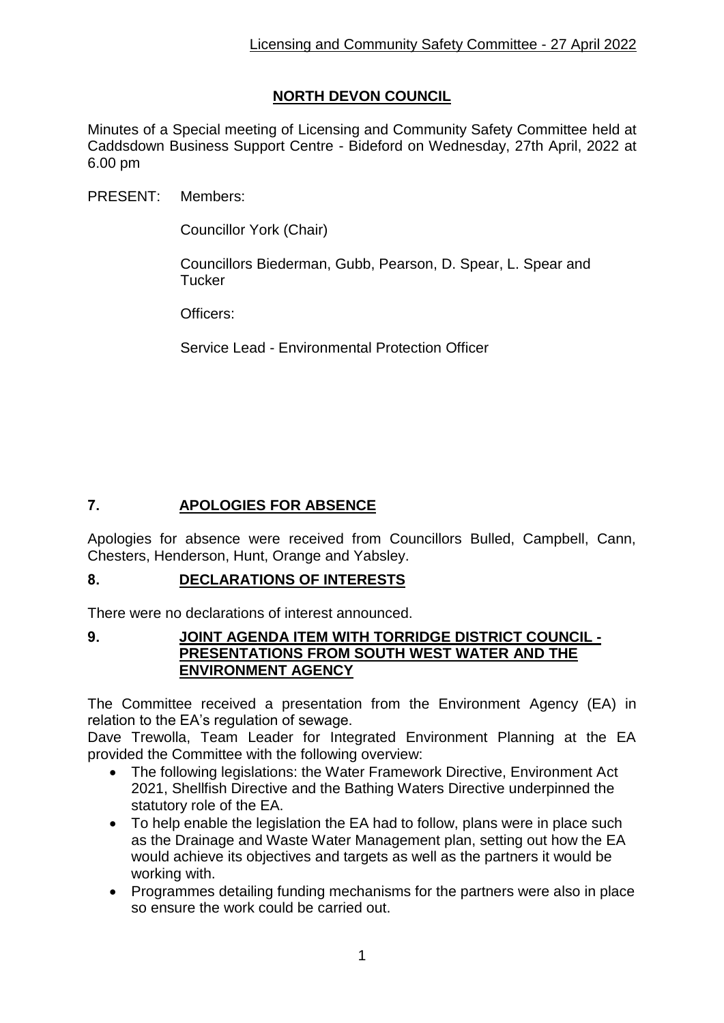# **NORTH DEVON COUNCIL**

Minutes of a Special meeting of Licensing and Community Safety Committee held at Caddsdown Business Support Centre - Bideford on Wednesday, 27th April, 2022 at 6.00 pm

PRESENT: Members:

Councillor York (Chair)

Councillors Biederman, Gubb, Pearson, D. Spear, L. Spear and **Tucker** 

Officers:

Service Lead - Environmental Protection Officer

## **7. APOLOGIES FOR ABSENCE**

Apologies for absence were received from Councillors Bulled, Campbell, Cann, Chesters, Henderson, Hunt, Orange and Yabsley.

## **8. DECLARATIONS OF INTERESTS**

There were no declarations of interest announced.

#### **9. JOINT AGENDA ITEM WITH TORRIDGE DISTRICT COUNCIL - PRESENTATIONS FROM SOUTH WEST WATER AND THE ENVIRONMENT AGENCY**

The Committee received a presentation from the Environment Agency (EA) in relation to the EA's regulation of sewage.

Dave Trewolla, Team Leader for Integrated Environment Planning at the EA provided the Committee with the following overview:

- The following legislations: the Water Framework Directive, Environment Act 2021, Shellfish Directive and the Bathing Waters Directive underpinned the statutory role of the EA.
- To help enable the legislation the EA had to follow, plans were in place such as the Drainage and Waste Water Management plan, setting out how the EA would achieve its objectives and targets as well as the partners it would be working with.
- Programmes detailing funding mechanisms for the partners were also in place so ensure the work could be carried out.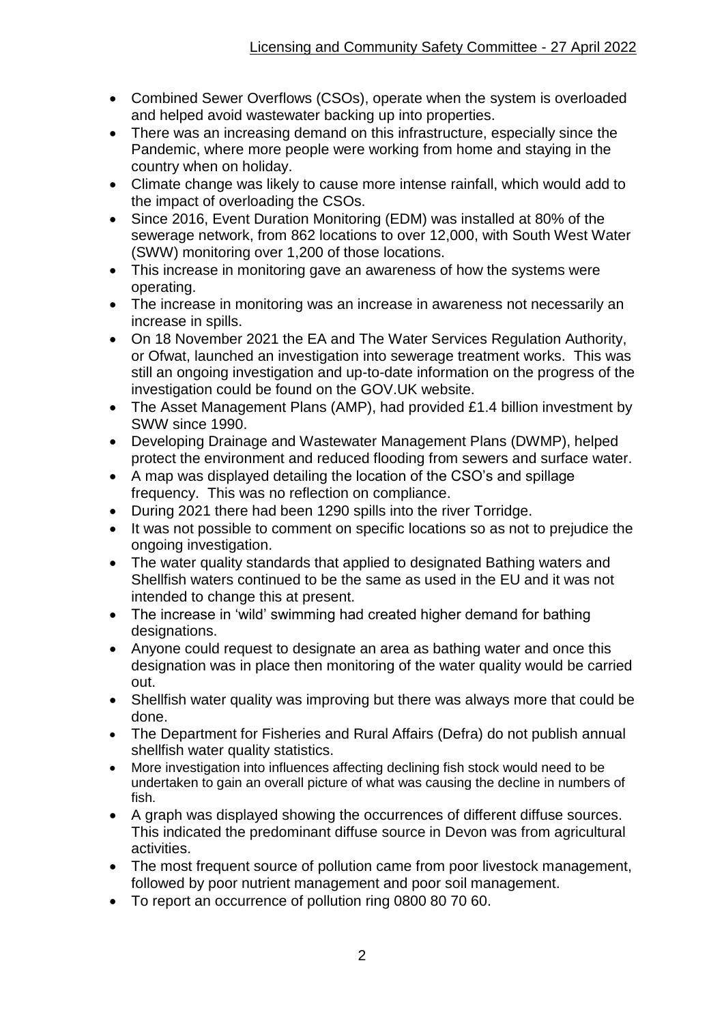- Combined Sewer Overflows (CSOs), operate when the system is overloaded and helped avoid wastewater backing up into properties.
- There was an increasing demand on this infrastructure, especially since the Pandemic, where more people were working from home and staying in the country when on holiday.
- Climate change was likely to cause more intense rainfall, which would add to the impact of overloading the CSOs.
- Since 2016, Event Duration Monitoring (EDM) was installed at 80% of the sewerage network, from 862 locations to over 12,000, with South West Water (SWW) monitoring over 1,200 of those locations.
- This increase in monitoring gave an awareness of how the systems were operating.
- The increase in monitoring was an increase in awareness not necessarily an increase in spills.
- On 18 November 2021 the EA and The Water Services Regulation Authority, or Ofwat, launched an investigation into sewerage treatment works. This was still an ongoing investigation and up-to-date information on the progress of the investigation could be found on the GOV.UK website.
- The Asset Management Plans (AMP), had provided £1.4 billion investment by SWW since 1990.
- Developing Drainage and Wastewater Management Plans (DWMP), helped protect the environment and reduced flooding from sewers and surface water.
- A map was displayed detailing the location of the CSO's and spillage frequency. This was no reflection on compliance.
- During 2021 there had been 1290 spills into the river Torridge.
- It was not possible to comment on specific locations so as not to prejudice the ongoing investigation.
- The water quality standards that applied to designated Bathing waters and Shellfish waters continued to be the same as used in the EU and it was not intended to change this at present.
- The increase in 'wild' swimming had created higher demand for bathing designations.
- Anyone could request to designate an area as bathing water and once this designation was in place then monitoring of the water quality would be carried out.
- Shellfish water quality was improving but there was always more that could be done.
- The Department for Fisheries and Rural Affairs (Defra) do not publish annual shellfish water quality statistics.
- More investigation into influences affecting declining fish stock would need to be undertaken to gain an overall picture of what was causing the decline in numbers of fish.
- A graph was displayed showing the occurrences of different diffuse sources. This indicated the predominant diffuse source in Devon was from agricultural activities.
- The most frequent source of pollution came from poor livestock management, followed by poor nutrient management and poor soil management.
- To report an occurrence of pollution ring 0800 80 70 60.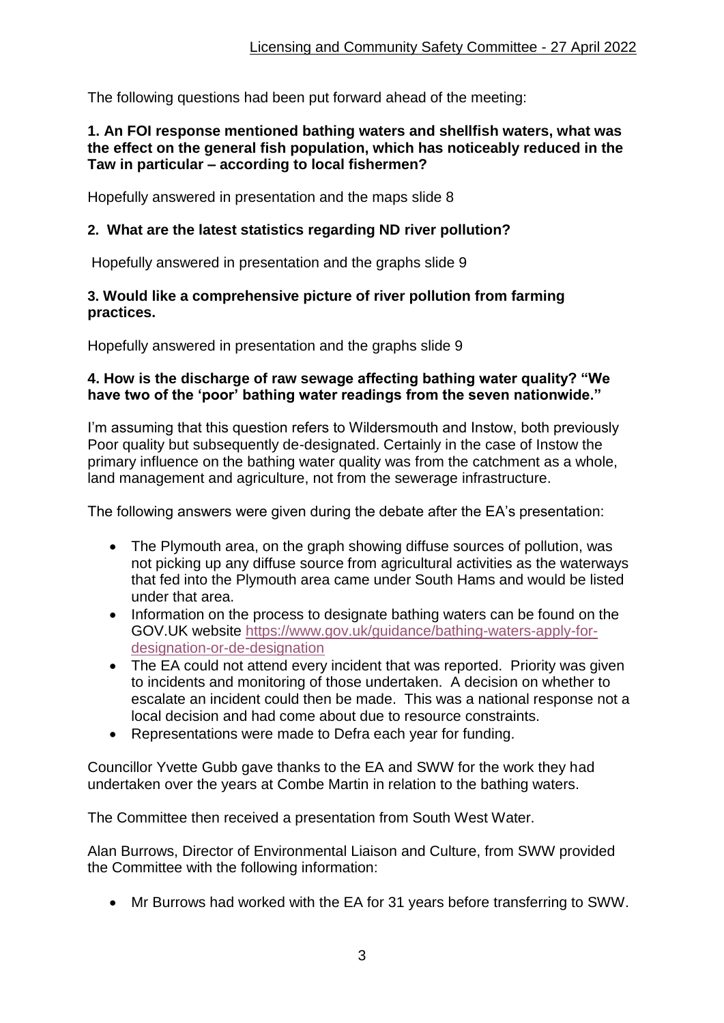The following questions had been put forward ahead of the meeting:

### **1. An FOI response mentioned bathing waters and shellfish waters, what was the effect on the general fish population, which has noticeably reduced in the Taw in particular – according to local fishermen?**

Hopefully answered in presentation and the maps slide 8

## **2. What are the latest statistics regarding ND river pollution?**

Hopefully answered in presentation and the graphs slide 9

### **3. Would like a comprehensive picture of river pollution from farming practices.**

Hopefully answered in presentation and the graphs slide 9

### **4. How is the discharge of raw sewage affecting bathing water quality? "We have two of the 'poor' bathing water readings from the seven nationwide."**

I'm assuming that this question refers to Wildersmouth and Instow, both previously Poor quality but subsequently de-designated. Certainly in the case of Instow the primary influence on the bathing water quality was from the catchment as a whole, land management and agriculture, not from the sewerage infrastructure.

The following answers were given during the debate after the EA's presentation:

- The Plymouth area, on the graph showing diffuse sources of pollution, was not picking up any diffuse source from agricultural activities as the waterways that fed into the Plymouth area came under South Hams and would be listed under that area.
- Information on the process to designate bathing waters can be found on the GOV.UK website [https://www.gov.uk/guidance/bathing-waters-apply-for](https://eur03.safelinks.protection.outlook.com/?url=https%3A%2F%2Fwww.gov.uk%2Fguidance%2Fbathing-waters-apply-for-designation-or-de-designation&data=05%7C01%7Cdave.trewolla%40environment-agency.gov.uk%7C7f3754486a5742fa241808da2f39a2d9%7C770a245002274c6290c74e38537f1102%7C0%7C0%7C637874221839883225%7CUnknown%7CTWFpbGZsb3d8eyJWIjoiMC4wLjAwMDAiLCJQIjoiV2luMzIiLCJBTiI6Ik1haWwiLCJXVCI6Mn0%3D%7C3000%7C%7C%7C&sdata=yYPl3Rry9QPnmN4sqYG4z8%2FLXVjSR39eGQ4Fk1D2tak%3D&reserved=0)[designation-or-de-designation](https://eur03.safelinks.protection.outlook.com/?url=https%3A%2F%2Fwww.gov.uk%2Fguidance%2Fbathing-waters-apply-for-designation-or-de-designation&data=05%7C01%7Cdave.trewolla%40environment-agency.gov.uk%7C7f3754486a5742fa241808da2f39a2d9%7C770a245002274c6290c74e38537f1102%7C0%7C0%7C637874221839883225%7CUnknown%7CTWFpbGZsb3d8eyJWIjoiMC4wLjAwMDAiLCJQIjoiV2luMzIiLCJBTiI6Ik1haWwiLCJXVCI6Mn0%3D%7C3000%7C%7C%7C&sdata=yYPl3Rry9QPnmN4sqYG4z8%2FLXVjSR39eGQ4Fk1D2tak%3D&reserved=0)
- The EA could not attend every incident that was reported. Priority was given to incidents and monitoring of those undertaken. A decision on whether to escalate an incident could then be made. This was a national response not a local decision and had come about due to resource constraints.
- Representations were made to Defra each year for funding.

Councillor Yvette Gubb gave thanks to the EA and SWW for the work they had undertaken over the years at Combe Martin in relation to the bathing waters.

The Committee then received a presentation from South West Water.

Alan Burrows, Director of Environmental Liaison and Culture, from SWW provided the Committee with the following information:

Mr Burrows had worked with the EA for 31 years before transferring to SWW.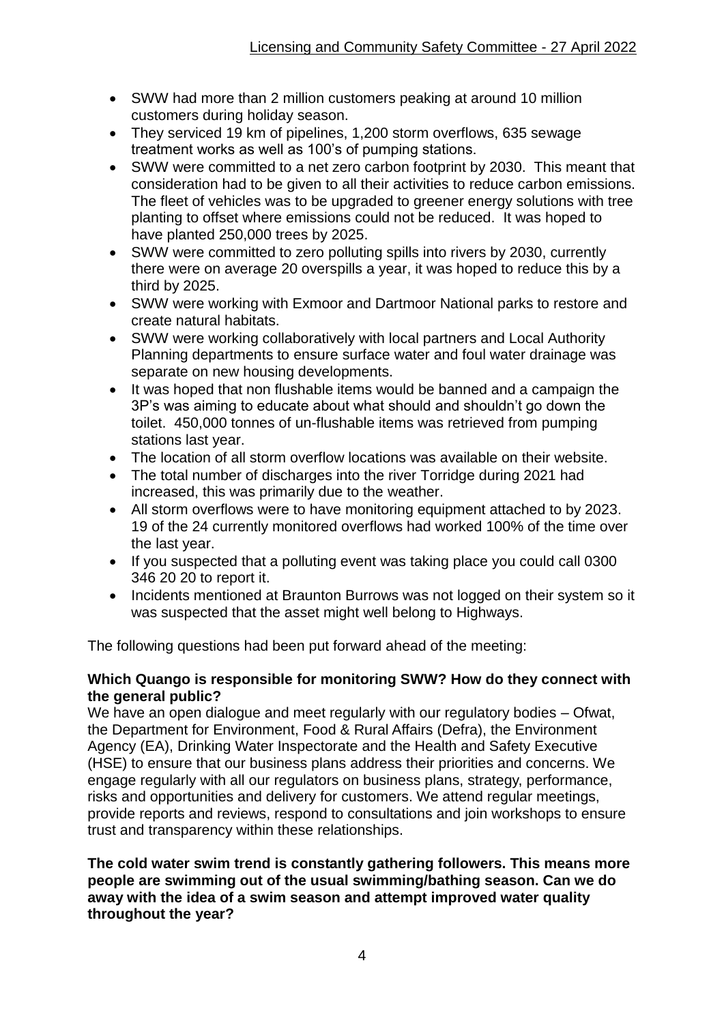- SWW had more than 2 million customers peaking at around 10 million customers during holiday season.
- They serviced 19 km of pipelines, 1,200 storm overflows, 635 sewage treatment works as well as 100's of pumping stations.
- SWW were committed to a net zero carbon footprint by 2030. This meant that consideration had to be given to all their activities to reduce carbon emissions. The fleet of vehicles was to be upgraded to greener energy solutions with tree planting to offset where emissions could not be reduced. It was hoped to have planted 250,000 trees by 2025.
- SWW were committed to zero polluting spills into rivers by 2030, currently there were on average 20 overspills a year, it was hoped to reduce this by a third by 2025.
- SWW were working with Exmoor and Dartmoor National parks to restore and create natural habitats.
- SWW were working collaboratively with local partners and Local Authority Planning departments to ensure surface water and foul water drainage was separate on new housing developments.
- It was hoped that non flushable items would be banned and a campaign the 3P's was aiming to educate about what should and shouldn't go down the toilet. 450,000 tonnes of un-flushable items was retrieved from pumping stations last year.
- The location of all storm overflow locations was available on their website.
- The total number of discharges into the river Torridge during 2021 had increased, this was primarily due to the weather.
- All storm overflows were to have monitoring equipment attached to by 2023. 19 of the 24 currently monitored overflows had worked 100% of the time over the last year.
- If you suspected that a polluting event was taking place you could call 0300 346 20 20 to report it.
- Incidents mentioned at Braunton Burrows was not logged on their system so it was suspected that the asset might well belong to Highways.

The following questions had been put forward ahead of the meeting:

### **Which Quango is responsible for monitoring SWW? How do they connect with the general public?**

We have an open dialogue and meet regularly with our regulatory bodies – Ofwat, the Department for Environment, Food & Rural Affairs (Defra), the Environment Agency (EA), Drinking Water Inspectorate and the Health and Safety Executive (HSE) to ensure that our business plans address their priorities and concerns. We engage regularly with all our regulators on business plans, strategy, performance, risks and opportunities and delivery for customers. We attend regular meetings, provide reports and reviews, respond to consultations and join workshops to ensure trust and transparency within these relationships.

**The cold water swim trend is constantly gathering followers. This means more people are swimming out of the usual swimming/bathing season. Can we do away with the idea of a swim season and attempt improved water quality throughout the year?**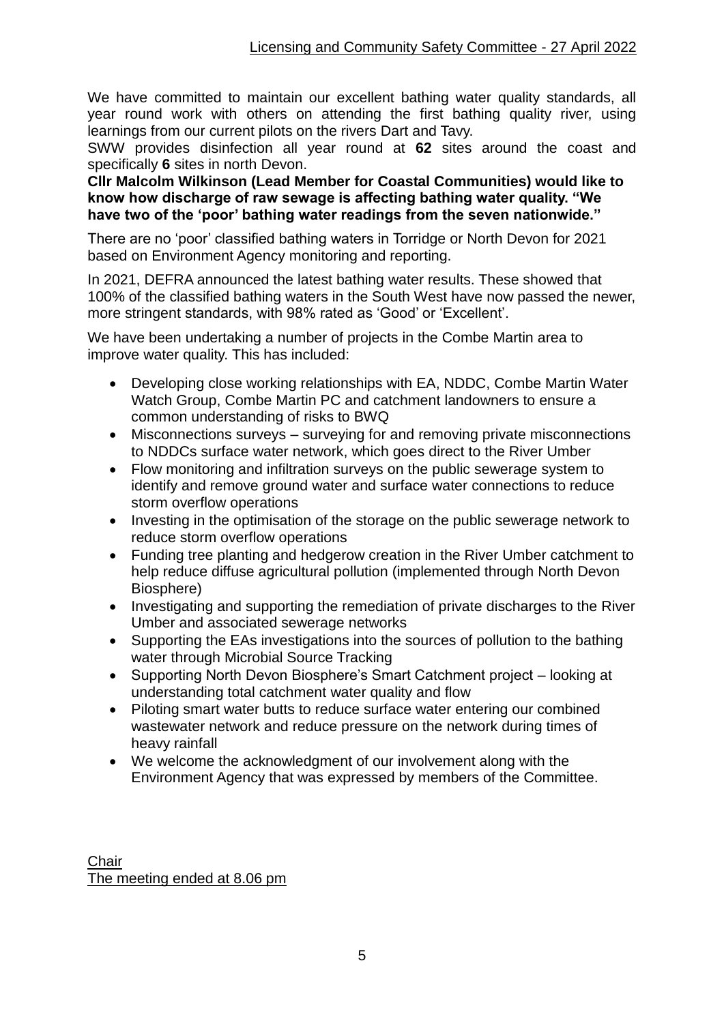We have committed to maintain our excellent bathing water quality standards, all year round work with others on attending the first bathing quality river, using learnings from our current pilots on the rivers Dart and Tavy.

SWW provides disinfection all year round at **62** sites around the coast and specifically **6** sites in north Devon.

**Cllr Malcolm Wilkinson (Lead Member for Coastal Communities) would like to know how discharge of raw sewage is affecting bathing water quality. "We have two of the 'poor' bathing water readings from the seven nationwide."** 

There are no 'poor' classified bathing waters in Torridge or North Devon for 2021 based on Environment Agency monitoring and reporting.

In 2021, DEFRA announced the latest bathing water results. These showed that 100% of the classified bathing waters in the South West have now passed the newer, more stringent standards, with 98% rated as 'Good' or 'Excellent'.

We have been undertaking a number of projects in the Combe Martin area to improve water quality. This has included:

- Developing close working relationships with EA, NDDC, Combe Martin Water Watch Group, Combe Martin PC and catchment landowners to ensure a common understanding of risks to BWQ
- Misconnections surveys surveying for and removing private misconnections to NDDCs surface water network, which goes direct to the River Umber
- Flow monitoring and infiltration surveys on the public sewerage system to identify and remove ground water and surface water connections to reduce storm overflow operations
- Investing in the optimisation of the storage on the public sewerage network to reduce storm overflow operations
- Funding tree planting and hedgerow creation in the River Umber catchment to help reduce diffuse agricultural pollution (implemented through North Devon Biosphere)
- Investigating and supporting the remediation of private discharges to the River Umber and associated sewerage networks
- Supporting the EAs investigations into the sources of pollution to the bathing water through Microbial Source Tracking
- Supporting North Devon Biosphere's Smart Catchment project looking at understanding total catchment water quality and flow
- Piloting smart water butts to reduce surface water entering our combined wastewater network and reduce pressure on the network during times of heavy rainfall
- We welcome the acknowledgment of our involvement along with the Environment Agency that was expressed by members of the Committee.

**Chair** The meeting ended at 8.06 pm